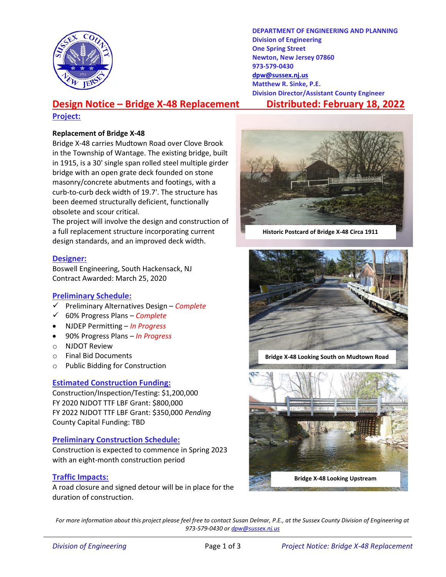

DEPARTMENT OF ENGINEERING AND PLANNING Division of Engineering One Spring Street Newton, New Jersey 07860 973-579-0430 dpw@sussex.nj.us Matthew R. Sinke, P.E. Division Director/Assistant County Engineer

# Design Notice – Bridge X-48 Replacement Distributed: February 18, 2022

#### Project:

#### Replacement of Bridge X-48

Bridge X-48 carries Mudtown Road over Clove Brook in the Township of Wantage. The existing bridge, built in 1915, is a 30' single span rolled steel multiple girder bridge with an open grate deck founded on stone masonry/concrete abutments and footings, with a curb-to-curb deck width of 19.7'. The structure has been deemed structurally deficient, functionally obsolete and scour critical.

The project will involve the design and construction of a full replacement structure incorporating current design standards, and an improved deck width.

### Designer:

Boswell Engineering, South Hackensack, NJ Contract Awarded: March 25, 2020

### Preliminary Schedule:

- Preliminary Alternatives Design Complete
- $60%$  Progress Plans Complete
- NJDEP Permitting In Progress
- 90% Progress Plans In Progress
- o NJDOT Review
- o Final Bid Documents
- o Public Bidding for Construction

### Estimated Construction Funding:

Construction/Inspection/Testing: \$1,200,000 FY 2020 NJDOT TTF LBF Grant: \$800,000 FY 2022 NJDOT TTF LBF Grant: \$350,000 Pending County Capital Funding: TBD

### Preliminary Construction Schedule:

Construction is expected to commence in Spring 2023 with an eight-month construction period

### Traffic Impacts:

A road closure and signed detour will be in place for the duration of construction.



Historic Postcard of Bridge X-48 Circa 1911



Bridge X-48 Looking South on Mudtown Road



For more information about this project please feel free to contact Susan Delmar, P.E., at the Sussex County Division of Engineering at 973-579-0430 or dpw@sussex.nj.us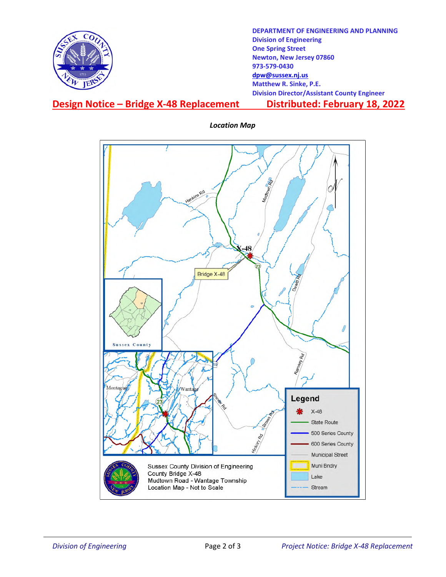

DEPARTMENT OF ENGINEERING AND PLANNING Division of Engineering One Spring Street Newton, New Jersey 07860 973-579-0430 dpw@sussex.nj.us Matthew R. Sinke, P.E. Division Director/Assistant County Engineer

## Design Notice – Bridge X-48 Replacement Distributed: February 18, 2022